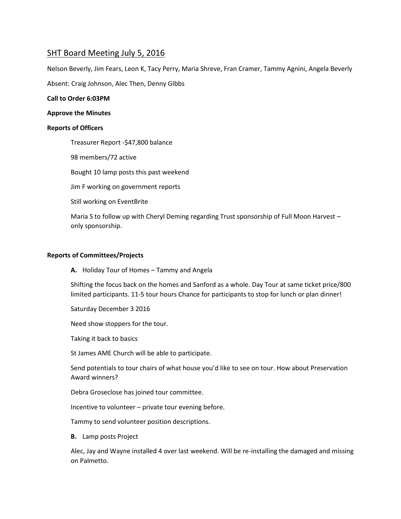# SHT Board Meeting July 5, 2016

Nelson Beverly, Jim Fears, Leon K, Tacy Perry, Maria Shreve, Fran Cramer, Tammy Agnini, Angela Beverly

Absent: Craig Johnson, Alec Then, Denny GIbbs

## **Call to Order 6:03PM**

#### **Approve the Minutes**

## **Reports of Officers**

Treasurer Report -\$47,800 balance

98 members/72 active

Bought 10 lamp posts this past weekend

Jim F working on government reports

Still working on EventBrite

Maria S to follow up with Cheryl Deming regarding Trust sponsorship of Full Moon Harvest – only sponsorship.

## **Reports of Committees/Projects**

**A.** Holiday Tour of Homes – Tammy and Angela

Shifting the focus back on the homes and Sanford as a whole. Day Tour at same ticket price/800 limited participants. 11-5 tour hours Chance for participants to stop for lunch or plan dinner!

Saturday December 3 2016

Need show stoppers for the tour.

Taking it back to basics

St James AME Church will be able to participate.

Send potentials to tour chairs of what house you'd like to see on tour. How about Preservation Award winners?

Debra Groseclose has joined tour committee.

Incentive to volunteer – private tour evening before.

Tammy to send volunteer position descriptions.

**B.** Lamp posts Project

Alec, Jay and Wayne installed 4 over last weekend. Will be re-installing the damaged and missing on Palmetto.